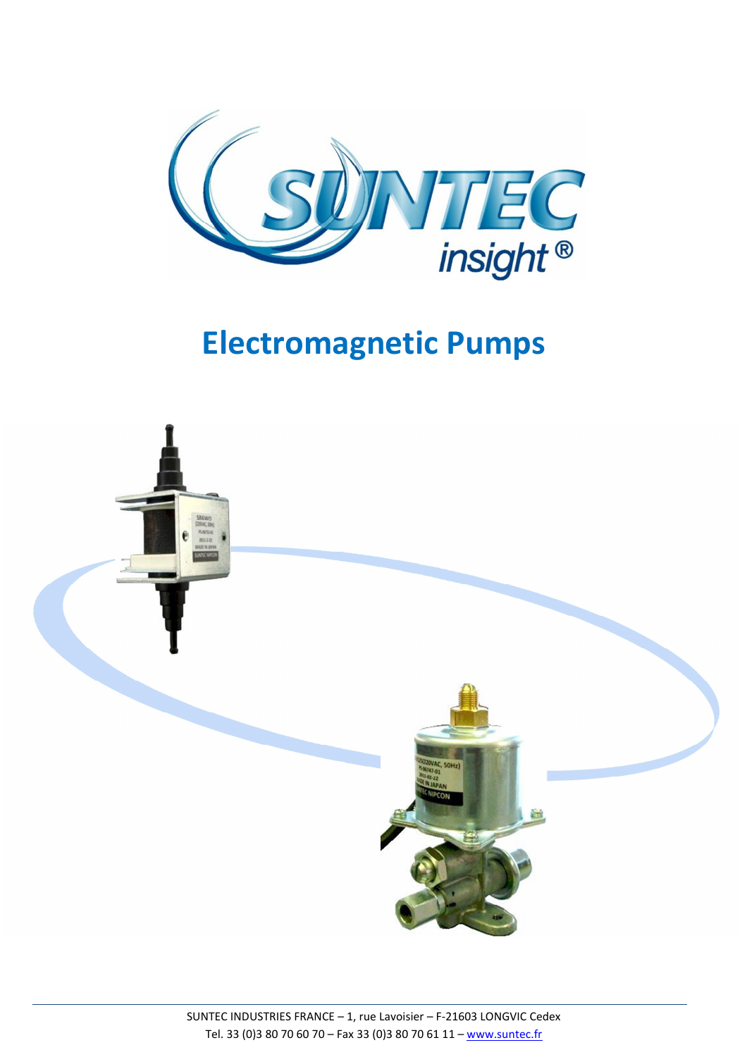

# **Electromagnetic Pumps**

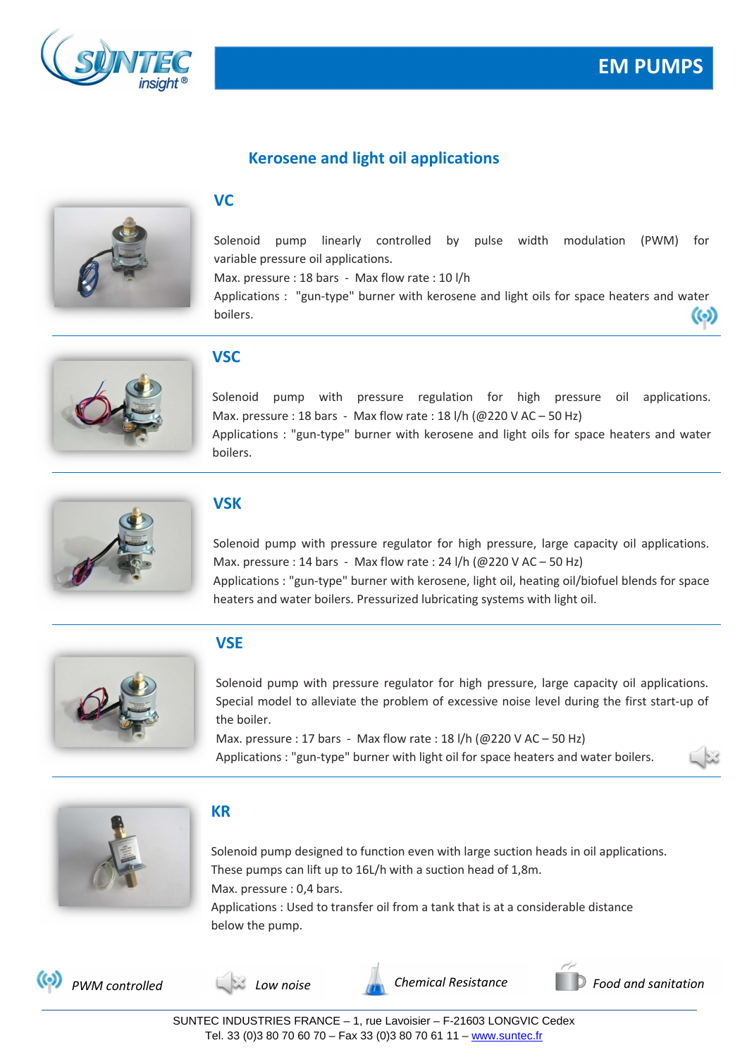



### **Kerosene and light oil applications**



#### **VC**

Solenoid pump linearly controlled by pulse width modulation (PWM) for variable pressure oil applications.

Max. pressure : 18 bars - Max flow rate : 10 l/h

Applications : "gun-type" burner with kerosene and light oils for space heaters and water boilers. ര



#### **VSC**

Solenoid pump with pressure regulation for high pressure oil applications. Max. pressure : 18 bars - Max flow rate : 18 l/h ( $@220$  V AC – 50 Hz) Applications : "gun-type" burner with kerosene and light oils for space heaters and water boilers.



#### **VSK**

Solenoid pump with pressure regulator for high pressure, large capacity oil applications. Max. pressure : 14 bars - Max flow rate : 24 l/h (@220 V AC – 50 Hz) Applications : "gun-type" burner with kerosene, light oil, heating oil/biofuel blends for space heaters and water boilers. Pressurized lubricating systems with light oil.



#### **VSE**

Solenoid pump with pressure regulator for high pressure, large capacity oil applications. Special model to alleviate the problem of excessive noise level during the first start-up of the boiler.

Max. pressure : 17 bars - Max flow rate : 18 l/h ( $@220$  V AC – 50 Hz) Applications : "gun-type" burner with light oil for space heaters and water boilers.





#### **KR**

Solenoid pump designed to function even with large suction heads in oil applications. These pumps can lift up to 16L/h with a suction head of 1,8m. Max. pressure : 0,4 bars. Applications : Used to transfer oil from a tank that is at a considerable distance below the pump.